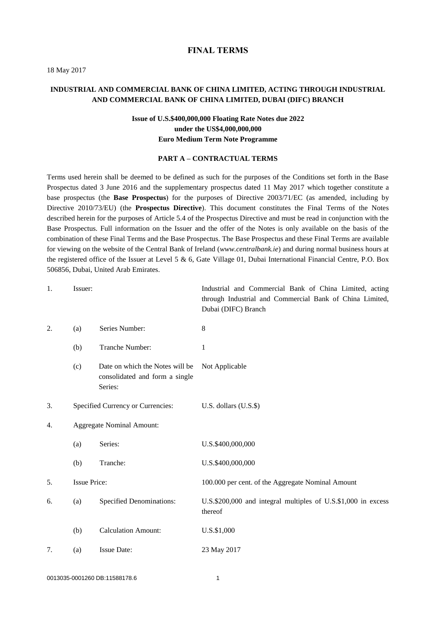### **FINAL TERMS**

18 May 2017

## **INDUSTRIAL AND COMMERCIAL BANK OF CHINA LIMITED, ACTING THROUGH INDUSTRIAL AND COMMERCIAL BANK OF CHINA LIMITED, DUBAI (DIFC) BRANCH**

# **Issue of U.S.\$400,000,000 Floating Rate Notes due 2022 under the US\$4,000,000,000 Euro Medium Term Note Programme**

#### **PART A – CONTRACTUAL TERMS**

Terms used herein shall be deemed to be defined as such for the purposes of the Conditions set forth in the Base Prospectus dated 3 June 2016 and the supplementary prospectus dated 11 May 2017 which together constitute a base prospectus (the **Base Prospectus**) for the purposes of Directive 2003/71/EC (as amended, including by Directive 2010/73/EU) (the **Prospectus Directive**). This document constitutes the Final Terms of the Notes described herein for the purposes of Article 5.4 of the Prospectus Directive and must be read in conjunction with the Base Prospectus. Full information on the Issuer and the offer of the Notes is only available on the basis of the combination of these Final Terms and the Base Prospectus. The Base Prospectus and these Final Terms are available for viewing on the website [of](Working%20Files/WF/of) the Central Bank of Ireland (*www.centralbank.ie*) and during normal business hours at the registered office of the Issuer at Level 5 & 6, Gate Village 01, Dubai International Financial Centre, P.O. Box 506856, Dubai, United Arab Emirates.

| 1. | Issuer:                           |                                                                              | Industrial and Commercial Bank of China Limited, acting<br>through Industrial and Commercial Bank of China Limited,<br>Dubai (DIFC) Branch |
|----|-----------------------------------|------------------------------------------------------------------------------|--------------------------------------------------------------------------------------------------------------------------------------------|
| 2. | (a)                               | Series Number:                                                               | $\,8\,$                                                                                                                                    |
|    | (b)                               | Tranche Number:                                                              | 1                                                                                                                                          |
|    | (c)                               | Date on which the Notes will be<br>consolidated and form a single<br>Series: | Not Applicable                                                                                                                             |
| 3. | Specified Currency or Currencies: |                                                                              | U.S. dollars (U.S.\$)                                                                                                                      |
| 4. | Aggregate Nominal Amount:         |                                                                              |                                                                                                                                            |
|    | (a)                               | Series:                                                                      | U.S.\$400,000,000                                                                                                                          |
|    | (b)                               | Tranche:                                                                     | U.S.\$400,000,000                                                                                                                          |
| 5. | <b>Issue Price:</b>               |                                                                              | 100.000 per cent. of the Aggregate Nominal Amount                                                                                          |
| 6. | (a)                               | Specified Denominations:                                                     | U.S.\$200,000 and integral multiples of U.S.\$1,000 in excess<br>thereof                                                                   |
|    | (b)                               | <b>Calculation Amount:</b>                                                   | U.S.\$1,000                                                                                                                                |
| 7. | (a)                               | <b>Issue Date:</b>                                                           | 23 May 2017                                                                                                                                |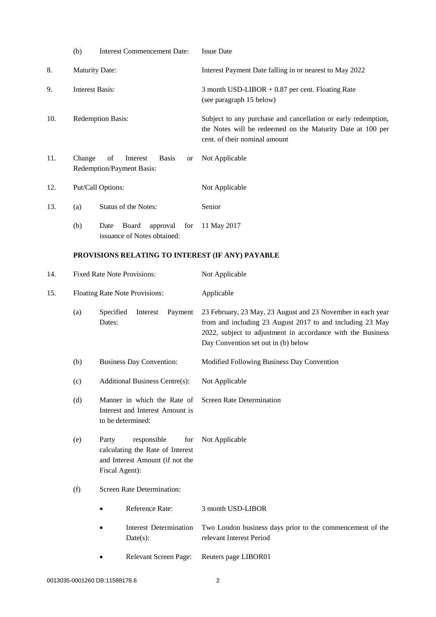|     | (b)                                              | <b>Interest Commencement Date:</b>                                                                                   | <b>Issue Date</b>                                                                                                                                                                                                              |  |  |
|-----|--------------------------------------------------|----------------------------------------------------------------------------------------------------------------------|--------------------------------------------------------------------------------------------------------------------------------------------------------------------------------------------------------------------------------|--|--|
| 8.  | Maturity Date:                                   |                                                                                                                      | Interest Payment Date falling in or nearest to May 2022                                                                                                                                                                        |  |  |
| 9.  | <b>Interest Basis:</b>                           |                                                                                                                      | 3 month USD-LIBOR $+0.87$ per cent. Floating Rate<br>(see paragraph 15 below)                                                                                                                                                  |  |  |
| 10. | <b>Redemption Basis:</b>                         |                                                                                                                      | Subject to any purchase and cancellation or early redemption,<br>the Notes will be redeemed on the Maturity Date at 100 per<br>cent. of their nominal amount                                                                   |  |  |
| 11. | Change                                           | of<br>Interest<br><b>Basis</b><br><b>or</b><br>Redemption/Payment Basis:                                             | Not Applicable                                                                                                                                                                                                                 |  |  |
| 12. |                                                  | Put/Call Options:                                                                                                    | Not Applicable                                                                                                                                                                                                                 |  |  |
| 13. | (a)                                              | Status of the Notes:                                                                                                 | Senior                                                                                                                                                                                                                         |  |  |
|     | (b)                                              | Board<br>Date<br>approval<br>for<br>issuance of Notes obtained:                                                      | 11 May 2017                                                                                                                                                                                                                    |  |  |
|     | PROVISIONS RELATING TO INTEREST (IF ANY) PAYABLE |                                                                                                                      |                                                                                                                                                                                                                                |  |  |
| 14. | <b>Fixed Rate Note Provisions:</b>               |                                                                                                                      | Not Applicable                                                                                                                                                                                                                 |  |  |
| 15. | Floating Rate Note Provisions:                   |                                                                                                                      | Applicable                                                                                                                                                                                                                     |  |  |
|     | (a)                                              | Specified<br>Interest<br>Payment<br>Dates:                                                                           | 23 February, 23 May, 23 August and 23 November in each year<br>from and including 23 August 2017 to and including 23 May<br>2022, subject to adjustment in accordance with the Business<br>Day Convention set out in (b) below |  |  |
|     | (b)                                              | <b>Business Day Convention:</b>                                                                                      | Modified Following Business Day Convention                                                                                                                                                                                     |  |  |
|     | (c)                                              | <b>Additional Business Centre(s):</b>                                                                                | Not Applicable                                                                                                                                                                                                                 |  |  |
|     | (d)                                              | Manner in which the Rate of<br>Interest and Interest Amount is<br>to be determined:                                  | <b>Screen Rate Determination</b>                                                                                                                                                                                               |  |  |
|     | (e)                                              | responsible<br>Party<br>for<br>calculating the Rate of Interest<br>and Interest Amount (if not the<br>Fiscal Agent): | Not Applicable                                                                                                                                                                                                                 |  |  |
|     | Screen Rate Determination:<br>(f)                |                                                                                                                      |                                                                                                                                                                                                                                |  |  |
|     |                                                  | Reference Rate:                                                                                                      | 3 month USD-LIBOR                                                                                                                                                                                                              |  |  |
|     |                                                  | <b>Interest Determination</b><br>$Date(s)$ :                                                                         | Two London business days prior to the commencement of the<br>relevant Interest Period                                                                                                                                          |  |  |
|     |                                                  | Relevant Screen Page:                                                                                                | Reuters page LIBOR01                                                                                                                                                                                                           |  |  |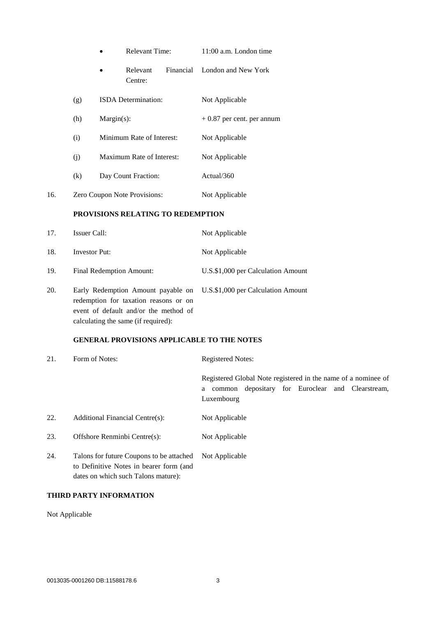|     |                              |                           | <b>Relevant Time:</b>             |                | 11:00 a.m. London time        |
|-----|------------------------------|---------------------------|-----------------------------------|----------------|-------------------------------|
|     |                              |                           | Relevant<br>Centre:               |                | Financial London and New York |
|     | (g)                          |                           | ISDA Determination:               |                | Not Applicable                |
|     | (h)                          | $Margin(s)$ :             |                                   |                | $+0.87$ per cent. per annum   |
|     | (i)                          | Minimum Rate of Interest: |                                   | Not Applicable |                               |
|     | (j)                          |                           | Maximum Rate of Interest:         |                | Not Applicable                |
|     | (k)                          |                           | Day Count Fraction:               |                | Actual/360                    |
| 16. | Zero Coupon Note Provisions: |                           | Not Applicable                    |                |                               |
|     |                              |                           | PROVISIONS RELATING TO REDEMPTION |                |                               |
| 17. | Issuer Call:                 |                           |                                   |                | Not Applicable                |
| 18. | <b>Investor Put:</b>         |                           |                                   |                | Not Applicable                |
|     |                              |                           |                                   |                |                               |

- 19. Final Redemption Amount: U.S.\$1,000 per Calculation Amount
- 20. Early Redemption Amount payable on redemption for taxation reasons or on event of default and/or the method of calculating the same (if required): U.S.\$1,000 per Calculation Amount

## **GENERAL PROVISIONS APPLICABLE TO THE NOTES**

- 21. Form of Notes: Registered Notes: Registered Global Note registered in the name of a nominee of a common depositary for Euroclear and Clearstream, Luxembourg 22. Additional Financial Centre(s): Not Applicable 23. Offshore Renminbi Centre(s): Not Applicable 24. Talons for future Coupons to be attached Not Applicable
- to Definitive Notes in bearer form (and dates on which such Talons mature):

## **THIRD PARTY INFORMATION**

Not Applicable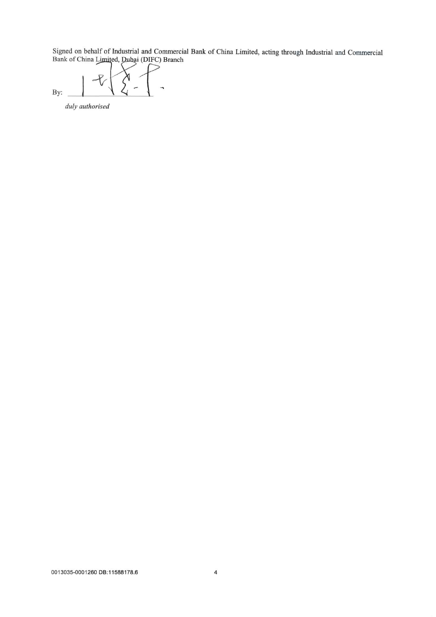Signed on behalf of Industrial and Commercial Bank of China Limited, acting through Industrial and Commercial Bank of China Limited, Dubai (DIFC) Branch

By:

duly authorised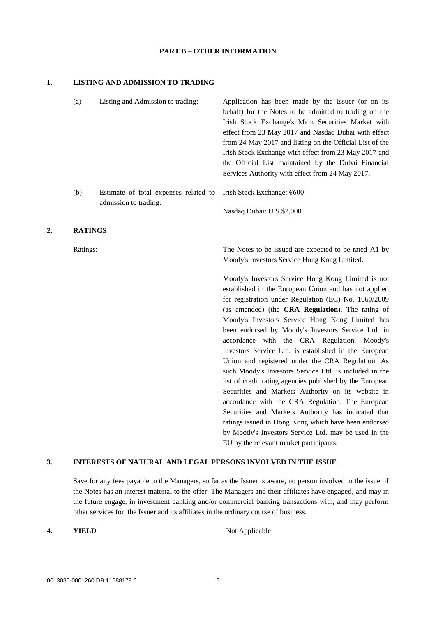#### **PART B – OTHER INFORMATION**

#### **1. LISTING AND ADMISSION TO TRADING**

|    | (a)            | Listing and Admission to trading:                              | Application has been made by the Issuer (or on its<br>behalf) for the Notes to be admitted to trading on the<br>Irish Stock Exchange's Main Securities Market with<br>effect from 23 May 2017 and Nasdaq Dubai with effect<br>from 24 May 2017 and listing on the Official List of the<br>Irish Stock Exchange with effect from 23 May 2017 and<br>the Official List maintained by the Dubai Financial<br>Services Authority with effect from 24 May 2017. |
|----|----------------|----------------------------------------------------------------|------------------------------------------------------------------------------------------------------------------------------------------------------------------------------------------------------------------------------------------------------------------------------------------------------------------------------------------------------------------------------------------------------------------------------------------------------------|
|    | (b)            | Estimate of total expenses related to<br>admission to trading: | Irish Stock Exchange: €600                                                                                                                                                                                                                                                                                                                                                                                                                                 |
|    |                |                                                                | Nasdaq Dubai: U.S.\$2,000                                                                                                                                                                                                                                                                                                                                                                                                                                  |
| 2. | <b>RATINGS</b> |                                                                |                                                                                                                                                                                                                                                                                                                                                                                                                                                            |
|    | Ratings:       |                                                                | The Notes to be issued are expected to be rated A1 by<br>Moody's Investors Service Hong Kong Limited.                                                                                                                                                                                                                                                                                                                                                      |
|    |                |                                                                | Moody's Investors Service Hong Kong Limited is not<br>established in the European Union and has not applied<br>for registration under Regulation (EC) No. 1060/2009<br>(as amended) (the CRA Regulation). The rating of                                                                                                                                                                                                                                    |
|    |                |                                                                | Moody's Investors Service Hong Kong Limited has<br>been endorsed by Moody's Investors Service Ltd. in<br>accordance with the CRA Regulation. Moody's                                                                                                                                                                                                                                                                                                       |
|    |                |                                                                | Investors Service Ltd. is established in the European<br>Union and registered under the CRA Regulation. As                                                                                                                                                                                                                                                                                                                                                 |
|    |                |                                                                | such Moody's Investors Service Ltd. is included in the                                                                                                                                                                                                                                                                                                                                                                                                     |
|    |                |                                                                | list of credit rating agencies published by the European                                                                                                                                                                                                                                                                                                                                                                                                   |
|    |                |                                                                | Securities and Markets Authority on its website in                                                                                                                                                                                                                                                                                                                                                                                                         |
|    |                |                                                                | accordance with the CRA Regulation. The European                                                                                                                                                                                                                                                                                                                                                                                                           |

# **3. INTERESTS OF NATURAL AND LEGAL PERSONS INVOLVED IN THE ISSUE**

Save for any fees payable to the Managers, so far as the Issuer is aware, no person involved in the issue of the Notes has an interest material to the offer. The Managers and their affiliates have engaged, and may in the future engage, in investment banking and/or commercial banking transactions with, and may perform other services for, the Issuer and its affiliates in the ordinary course of business.

**4. YIELD** Not Applicable

Securities and Markets Authority has indicated that ratings issued in Hong Kong which have been endorsed by Moody's Investors Service Ltd. may be used in the

EU by the relevant market participants.